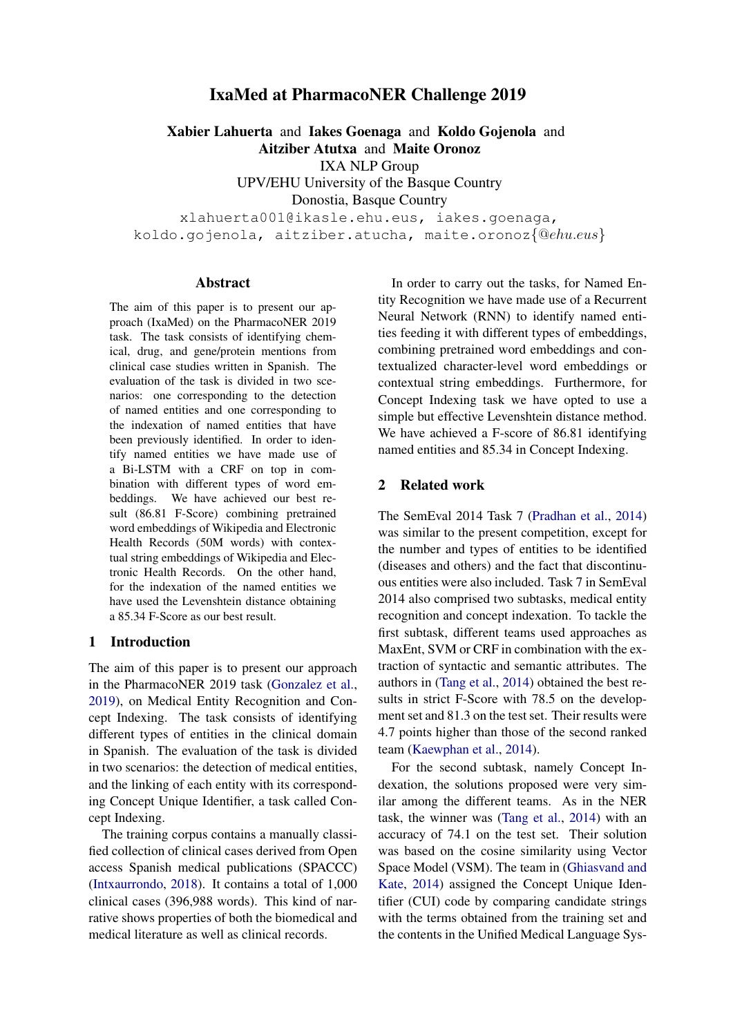# IxaMed at PharmacoNER Challenge 2019

Xabier Lahuerta and Iakes Goenaga and Koldo Gojenola and Aitziber Atutxa and Maite Oronoz

IXA NLP Group

UPV/EHU University of the Basque Country Donostia, Basque Country

xlahuerta001@ikasle.ehu.eus, iakes.goenaga, koldo.gojenola, aitziber.atucha, maite.oronoz{@ehu.eus}

#### Abstract

The aim of this paper is to present our approach (IxaMed) on the PharmacoNER 2019 task. The task consists of identifying chemical, drug, and gene/protein mentions from clinical case studies written in Spanish. The evaluation of the task is divided in two scenarios: one corresponding to the detection of named entities and one corresponding to the indexation of named entities that have been previously identified. In order to identify named entities we have made use of a Bi-LSTM with a CRF on top in combination with different types of word embeddings. We have achieved our best result (86.81 F-Score) combining pretrained word embeddings of Wikipedia and Electronic Health Records (50M words) with contextual string embeddings of Wikipedia and Electronic Health Records. On the other hand, for the indexation of the named entities we have used the Levenshtein distance obtaining a 85.34 F-Score as our best result.

### 1 Introduction

The aim of this paper is to present our approach in the PharmacoNER 2019 task [\(Gonzalez et al.,](#page-4-0) [2019\)](#page-4-0), on Medical Entity Recognition and Concept Indexing. The task consists of identifying different types of entities in the clinical domain in Spanish. The evaluation of the task is divided in two scenarios: the detection of medical entities, and the linking of each entity with its corresponding Concept Unique Identifier, a task called Concept Indexing.

The training corpus contains a manually classified collection of clinical cases derived from Open access Spanish medical publications (SPACCC) [\(Intxaurrondo,](#page-4-1) [2018\)](#page-4-1). It contains a total of 1,000 clinical cases (396,988 words). This kind of narrative shows properties of both the biomedical and medical literature as well as clinical records.

In order to carry out the tasks, for Named Entity Recognition we have made use of a Recurrent Neural Network (RNN) to identify named entities feeding it with different types of embeddings, combining pretrained word embeddings and contextualized character-level word embeddings or contextual string embeddings. Furthermore, for Concept Indexing task we have opted to use a simple but effective Levenshtein distance method. We have achieved a F-score of 86.81 identifying named entities and 85.34 in Concept Indexing.

### 2 Related work

The SemEval 2014 Task 7 [\(Pradhan et al.,](#page-4-2) [2014\)](#page-4-2) was similar to the present competition, except for the number and types of entities to be identified (diseases and others) and the fact that discontinuous entities were also included. Task 7 in SemEval 2014 also comprised two subtasks, medical entity recognition and concept indexation. To tackle the first subtask, different teams used approaches as MaxEnt, SVM or CRF in combination with the extraction of syntactic and semantic attributes. The authors in [\(Tang et al.,](#page-4-3) [2014\)](#page-4-3) obtained the best results in strict F-Score with 78.5 on the development set and 81.3 on the test set. Their results were 4.7 points higher than those of the second ranked team [\(Kaewphan et al.,](#page-4-4) [2014\)](#page-4-4).

For the second subtask, namely Concept Indexation, the solutions proposed were very similar among the different teams. As in the NER task, the winner was [\(Tang et al.,](#page-4-3) [2014\)](#page-4-3) with an accuracy of 74.1 on the test set. Their solution was based on the cosine similarity using Vector Space Model (VSM). The team in [\(Ghiasvand and](#page-4-5) [Kate,](#page-4-5) [2014\)](#page-4-5) assigned the Concept Unique Identifier (CUI) code by comparing candidate strings with the terms obtained from the training set and the contents in the Unified Medical Language Sys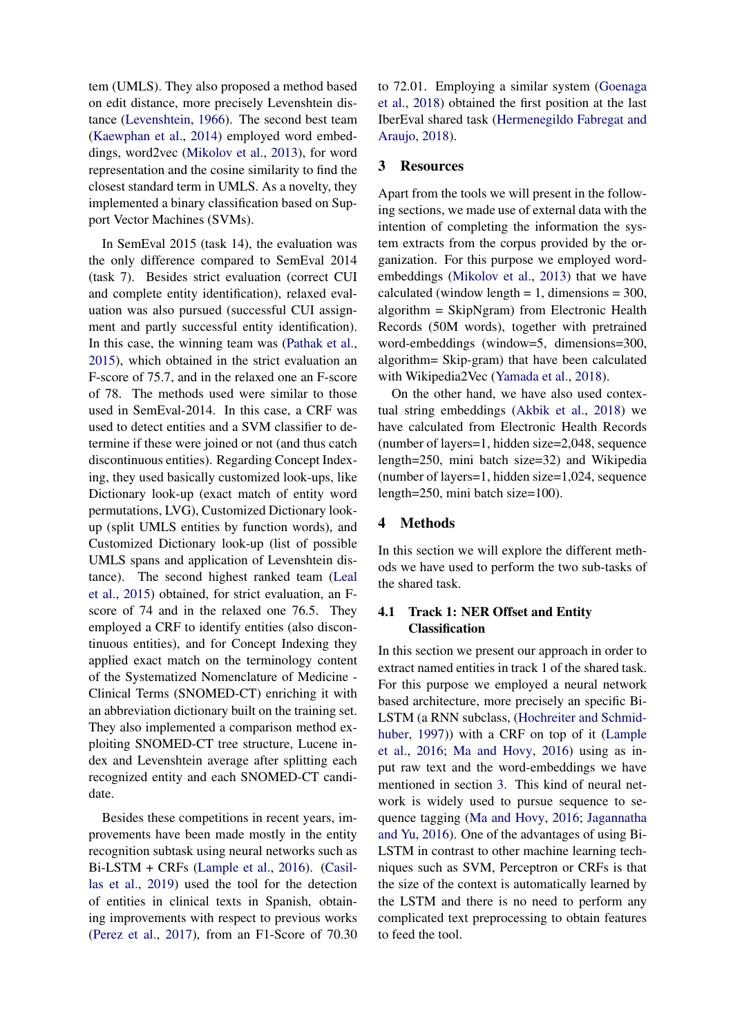tem (UMLS). They also proposed a method based on edit distance, more precisely Levenshtein distance [\(Levenshtein,](#page-4-6) [1966\)](#page-4-6). The second best team [\(Kaewphan et al.,](#page-4-4) [2014\)](#page-4-4) employed word embeddings, word2vec [\(Mikolov et al.,](#page-4-7) [2013\)](#page-4-7), for word representation and the cosine similarity to find the closest standard term in UMLS. As a novelty, they implemented a binary classification based on Support Vector Machines (SVMs).

In SemEval 2015 (task 14), the evaluation was the only difference compared to SemEval 2014 (task 7). Besides strict evaluation (correct CUI and complete entity identification), relaxed evaluation was also pursued (successful CUI assignment and partly successful entity identification). In this case, the winning team was [\(Pathak et al.,](#page-4-8) [2015\)](#page-4-8), which obtained in the strict evaluation an F-score of 75.7, and in the relaxed one an F-score of 78. The methods used were similar to those used in SemEval-2014. In this case, a CRF was used to detect entities and a SVM classifier to determine if these were joined or not (and thus catch discontinuous entities). Regarding Concept Indexing, they used basically customized look-ups, like Dictionary look-up (exact match of entity word permutations, LVG), Customized Dictionary lookup (split UMLS entities by function words), and Customized Dictionary look-up (list of possible UMLS spans and application of Levenshtein distance). The second highest ranked team [\(Leal](#page-4-9) [et al.,](#page-4-9) [2015\)](#page-4-9) obtained, for strict evaluation, an Fscore of 74 and in the relaxed one 76.5. They employed a CRF to identify entities (also discontinuous entities), and for Concept Indexing they applied exact match on the terminology content of the Systematized Nomenclature of Medicine - Clinical Terms (SNOMED-CT) enriching it with an abbreviation dictionary built on the training set. They also implemented a comparison method exploiting SNOMED-CT tree structure, Lucene index and Levenshtein average after splitting each recognized entity and each SNOMED-CT candidate.

Besides these competitions in recent years, improvements have been made mostly in the entity recognition subtask using neural networks such as Bi-LSTM + CRFs [\(Lample et al.,](#page-4-10) [2016\)](#page-4-10). [\(Casil](#page-3-0)[las et al.,](#page-3-0) [2019\)](#page-3-0) used the tool for the detection of entities in clinical texts in Spanish, obtaining improvements with respect to previous works [\(Perez et al.,](#page-4-11) [2017\)](#page-4-11), from an F1-Score of 70.30 to 72.01. Employing a similar system [\(Goenaga](#page-4-12) [et al.,](#page-4-12) [2018\)](#page-4-12) obtained the first position at the last IberEval shared task [\(Hermenegildo Fabregat and](#page-4-13) [Araujo,](#page-4-13) [2018\)](#page-4-13).

### <span id="page-1-0"></span>3 Resources

Apart from the tools we will present in the following sections, we made use of external data with the intention of completing the information the system extracts from the corpus provided by the organization. For this purpose we employed wordembeddings [\(Mikolov et al.,](#page-4-7) [2013\)](#page-4-7) that we have calculated (window length  $= 1$ , dimensions  $= 300$ , algorithm = SkipNgram) from Electronic Health Records (50M words), together with pretrained word-embeddings (window=5, dimensions=300, algorithm= Skip-gram) that have been calculated with Wikipedia2Vec [\(Yamada et al.,](#page-4-14) [2018\)](#page-4-14).

On the other hand, we have also used contextual string embeddings [\(Akbik et al.,](#page-3-1) [2018\)](#page-3-1) we have calculated from Electronic Health Records (number of layers=1, hidden size=2,048, sequence length=250, mini batch size=32) and Wikipedia (number of layers=1, hidden size=1,024, sequence length=250, mini batch size=100).

### 4 Methods

In this section we will explore the different methods we have used to perform the two sub-tasks of the shared task.

## 4.1 Track 1: NER Offset and Entity Classification

In this section we present our approach in order to extract named entities in track 1 of the shared task. For this purpose we employed a neural network based architecture, more precisely an specific Bi-LSTM (a RNN subclass, [\(Hochreiter and Schmid](#page-4-15)[huber,](#page-4-15) [1997\)](#page-4-15)) with a CRF on top of it [\(Lample](#page-4-10) [et al.,](#page-4-10) [2016;](#page-4-10) [Ma and Hovy,](#page-4-16) [2016\)](#page-4-16) using as input raw text and the word-embeddings we have mentioned in section [3.](#page-1-0) This kind of neural network is widely used to pursue sequence to sequence tagging [\(Ma and Hovy,](#page-4-16) [2016;](#page-4-16) [Jagannatha](#page-4-17) [and Yu,](#page-4-17) [2016\)](#page-4-17). One of the advantages of using Bi-LSTM in contrast to other machine learning techniques such as SVM, Perceptron or CRFs is that the size of the context is automatically learned by the LSTM and there is no need to perform any complicated text preprocessing to obtain features to feed the tool.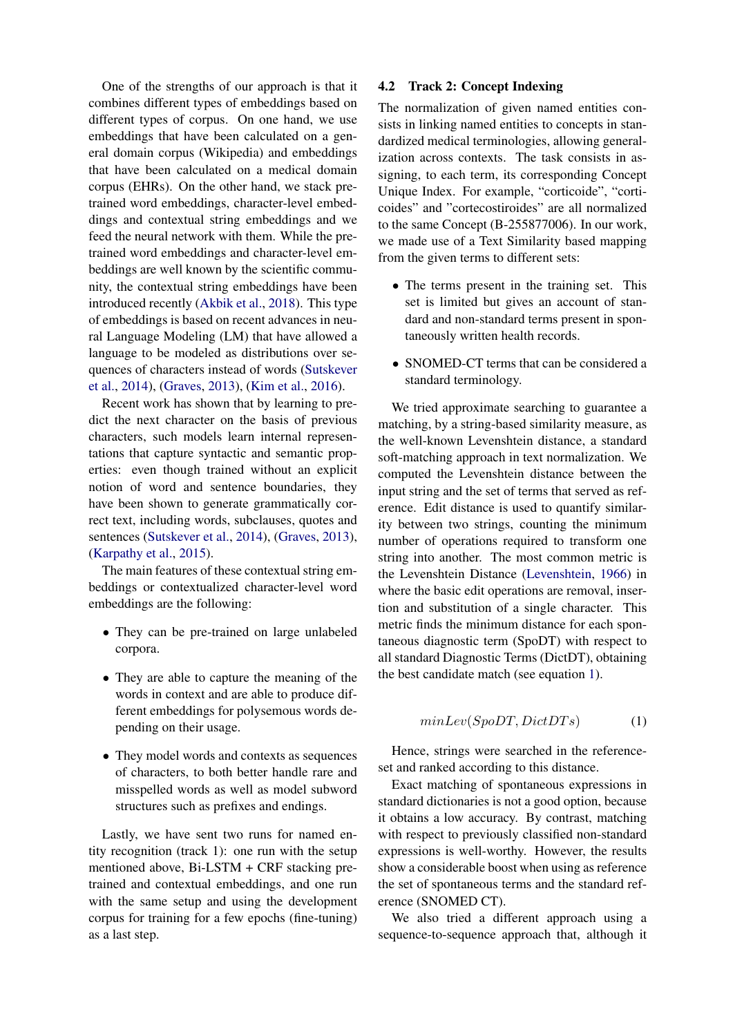One of the strengths of our approach is that it combines different types of embeddings based on different types of corpus. On one hand, we use embeddings that have been calculated on a general domain corpus (Wikipedia) and embeddings that have been calculated on a medical domain corpus (EHRs). On the other hand, we stack pretrained word embeddings, character-level embeddings and contextual string embeddings and we feed the neural network with them. While the pretrained word embeddings and character-level embeddings are well known by the scientific community, the contextual string embeddings have been introduced recently [\(Akbik et al.,](#page-3-1) [2018\)](#page-3-1). This type of embeddings is based on recent advances in neural Language Modeling (LM) that have allowed a language to be modeled as distributions over sequences of characters instead of words [\(Sutskever](#page-4-18) [et al.,](#page-4-18) [2014\)](#page-4-18), [\(Graves,](#page-4-19) [2013\)](#page-4-19), [\(Kim et al.,](#page-4-20) [2016\)](#page-4-20).

Recent work has shown that by learning to predict the next character on the basis of previous characters, such models learn internal representations that capture syntactic and semantic properties: even though trained without an explicit notion of word and sentence boundaries, they have been shown to generate grammatically correct text, including words, subclauses, quotes and sentences [\(Sutskever et al.,](#page-4-18) [2014\)](#page-4-18), [\(Graves,](#page-4-19) [2013\)](#page-4-19), [\(Karpathy et al.,](#page-4-21) [2015\)](#page-4-21).

The main features of these contextual string embeddings or contextualized character-level word embeddings are the following:

- They can be pre-trained on large unlabeled corpora.
- They are able to capture the meaning of the words in context and are able to produce different embeddings for polysemous words depending on their usage.
- They model words and contexts as sequences of characters, to both better handle rare and misspelled words as well as model subword structures such as prefixes and endings.

Lastly, we have sent two runs for named entity recognition (track 1): one run with the setup mentioned above, Bi-LSTM + CRF stacking pretrained and contextual embeddings, and one run with the same setup and using the development corpus for training for a few epochs (fine-tuning) as a last step.

### 4.2 Track 2: Concept Indexing

The normalization of given named entities consists in linking named entities to concepts in standardized medical terminologies, allowing generalization across contexts. The task consists in assigning, to each term, its corresponding Concept Unique Index. For example, "corticoide", "corticoides" and "cortecostiroides" are all normalized to the same Concept (B-255877006). In our work, we made use of a Text Similarity based mapping from the given terms to different sets:

- The terms present in the training set. This set is limited but gives an account of standard and non-standard terms present in spontaneously written health records.
- SNOMED-CT terms that can be considered a standard terminology.

We tried approximate searching to guarantee a matching, by a string-based similarity measure, as the well-known Levenshtein distance, a standard soft-matching approach in text normalization. We computed the Levenshtein distance between the input string and the set of terms that served as reference. Edit distance is used to quantify similarity between two strings, counting the minimum number of operations required to transform one string into another. The most common metric is the Levenshtein Distance [\(Levenshtein,](#page-4-6) [1966\)](#page-4-6) in where the basic edit operations are removal, insertion and substitution of a single character. This metric finds the minimum distance for each spontaneous diagnostic term (SpoDT) with respect to all standard Diagnostic Terms (DictDT), obtaining the best candidate match (see equation [1\)](#page-2-0).

<span id="page-2-0"></span>
$$
minLev(SpoDT,DictDTs) \tag{1}
$$

Hence, strings were searched in the referenceset and ranked according to this distance.

Exact matching of spontaneous expressions in standard dictionaries is not a good option, because it obtains a low accuracy. By contrast, matching with respect to previously classified non-standard expressions is well-worthy. However, the results show a considerable boost when using as reference the set of spontaneous terms and the standard reference (SNOMED CT).

We also tried a different approach using a sequence-to-sequence approach that, although it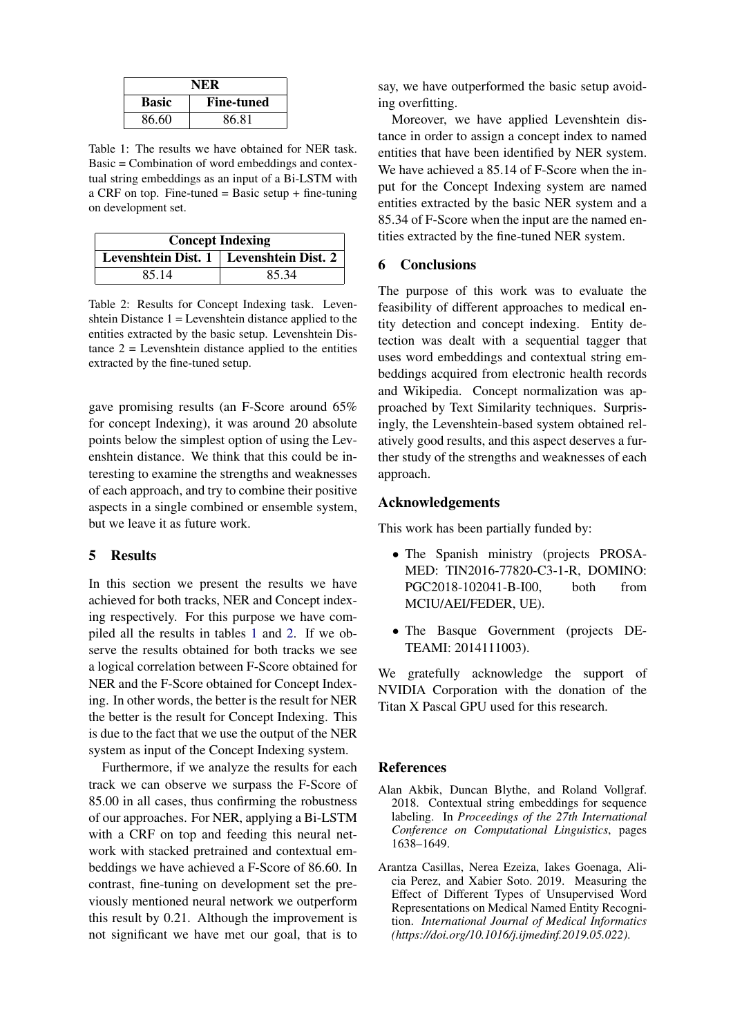<span id="page-3-2"></span>

| NER          |                   |
|--------------|-------------------|
| <b>Basic</b> | <b>Fine-tuned</b> |
| 86.60        | 86.81             |

Table 1: The results we have obtained for NER task. Basic = Combination of word embeddings and contextual string embeddings as an input of a Bi-LSTM with a CRF on top. Fine-tuned = Basic setup  $+$  fine-tuning on development set.

<span id="page-3-3"></span>

| <b>Concept Indexing</b> |                                           |  |
|-------------------------|-------------------------------------------|--|
|                         | Levenshtein Dist. 1   Levenshtein Dist. 2 |  |
| 85.14                   | 85.34                                     |  |

Table 2: Results for Concept Indexing task. Levenshtein Distance 1 = Levenshtein distance applied to the entities extracted by the basic setup. Levenshtein Distance  $2 =$  Levenshtein distance applied to the entities extracted by the fine-tuned setup.

gave promising results (an F-Score around 65% for concept Indexing), it was around 20 absolute points below the simplest option of using the Levenshtein distance. We think that this could be interesting to examine the strengths and weaknesses of each approach, and try to combine their positive aspects in a single combined or ensemble system, but we leave it as future work.

### 5 Results

In this section we present the results we have achieved for both tracks, NER and Concept indexing respectively. For this purpose we have compiled all the results in tables [1](#page-3-2) and [2.](#page-3-3) If we observe the results obtained for both tracks we see a logical correlation between F-Score obtained for NER and the F-Score obtained for Concept Indexing. In other words, the better is the result for NER the better is the result for Concept Indexing. This is due to the fact that we use the output of the NER system as input of the Concept Indexing system.

Furthermore, if we analyze the results for each track we can observe we surpass the F-Score of 85.00 in all cases, thus confirming the robustness of our approaches. For NER, applying a Bi-LSTM with a CRF on top and feeding this neural network with stacked pretrained and contextual embeddings we have achieved a F-Score of 86.60. In contrast, fine-tuning on development set the previously mentioned neural network we outperform this result by 0.21. Although the improvement is not significant we have met our goal, that is to

say, we have outperformed the basic setup avoiding overfitting.

Moreover, we have applied Levenshtein distance in order to assign a concept index to named entities that have been identified by NER system. We have achieved a 85.14 of F-Score when the input for the Concept Indexing system are named entities extracted by the basic NER system and a 85.34 of F-Score when the input are the named entities extracted by the fine-tuned NER system.

## 6 Conclusions

The purpose of this work was to evaluate the feasibility of different approaches to medical entity detection and concept indexing. Entity detection was dealt with a sequential tagger that uses word embeddings and contextual string embeddings acquired from electronic health records and Wikipedia. Concept normalization was approached by Text Similarity techniques. Surprisingly, the Levenshtein-based system obtained relatively good results, and this aspect deserves a further study of the strengths and weaknesses of each approach.

### Acknowledgements

This work has been partially funded by:

- The Spanish ministry (projects PROSA-MED: TIN2016-77820-C3-1-R, DOMINO: PGC2018-102041-B-I00, both from MCIU/AEI/FEDER, UE).
- The Basque Government (projects DE-TEAMI: 2014111003).

We gratefully acknowledge the support of NVIDIA Corporation with the donation of the Titan X Pascal GPU used for this research.

### References

- <span id="page-3-1"></span>Alan Akbik, Duncan Blythe, and Roland Vollgraf. 2018. Contextual string embeddings for sequence labeling. In *Proceedings of the 27th International Conference on Computational Linguistics*, pages 1638–1649.
- <span id="page-3-0"></span>Arantza Casillas, Nerea Ezeiza, Iakes Goenaga, Alicia Perez, and Xabier Soto. 2019. Measuring the Effect of Different Types of Unsupervised Word Representations on Medical Named Entity Recognition. *International Journal of Medical Informatics (https://doi.org/10.1016/j.ijmedinf.2019.05.022)*.